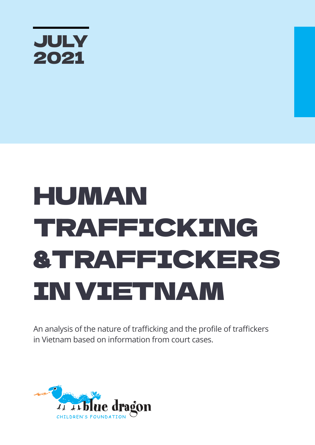

# HUMAN TRAFFICKING &TRAFFICKERS IN VIETNAM

An analysis of the nature of trafficking and the profile of traffickers in Vietnam based on information from court cases.

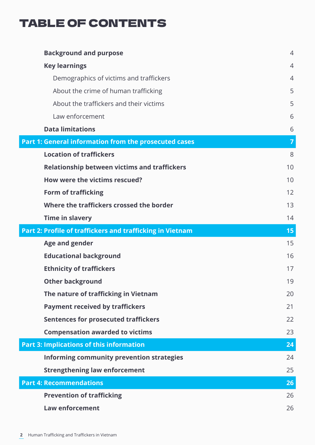### TABLE OF CONTENTS

| <b>Background and purpose</b>                             | $\overline{4}$ |
|-----------------------------------------------------------|----------------|
| <b>Key learnings</b>                                      | $\overline{4}$ |
| Demographics of victims and traffickers                   | $\overline{4}$ |
| About the crime of human trafficking                      | 5              |
| About the traffickers and their victims                   | 5              |
| Law enforcement                                           | 6              |
| <b>Data limitations</b>                                   | 6              |
| Part 1: General information from the prosecuted cases     | $\overline{7}$ |
| <b>Location of traffickers</b>                            | 8              |
| <b>Relationship between victims and traffickers</b>       | 10             |
| How were the victims rescued?                             | 10             |
| <b>Form of trafficking</b>                                | 12             |
| Where the traffickers crossed the border                  | 13             |
| <b>Time in slavery</b>                                    | 14             |
| Part 2: Profile of traffickers and trafficking in Vietnam | 15             |
| <b>Age and gender</b>                                     | 15             |
| <b>Educational background</b>                             | 16             |
| <b>Ethnicity of traffickers</b>                           | 17             |
| <b>Other background</b>                                   | 19             |
| The nature of trafficking in Vietnam                      | 20             |
| <b>Payment received by traffickers</b>                    | 21             |
| <b>Sentences for prosecuted traffickers</b>               | 22             |
| <b>Compensation awarded to victims</b>                    | 23             |
| <b>Part 3: Implications of this information</b>           | 24             |
| Informing community prevention strategies                 | 24             |
| <b>Strengthening law enforcement</b>                      | 25             |
| <b>Part 4: Recommendations</b>                            | 26             |
| <b>Prevention of trafficking</b>                          | 26             |
| <b>Law enforcement</b>                                    | 26             |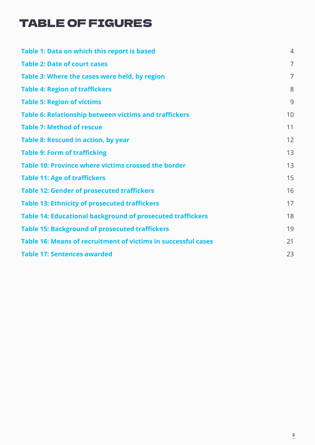### TABLE OF FIGURES

| Table 1: Data on which this report is based                       | $\overline{4}$ |
|-------------------------------------------------------------------|----------------|
| <b>Table 2: Date of court cases</b>                               | $\overline{7}$ |
| Table 3: Where the cases were held, by region                     | $\overline{7}$ |
| <b>Table 4: Region of traffickers</b>                             | 8              |
| <b>Table 5: Region of victims</b>                                 | 9              |
| Table 6: Relationship between victims and traffickers             | 10             |
| <b>Table 7: Method of rescue</b>                                  | 11             |
| <b>Table 8: Rescued in action, by year</b>                        | 12             |
| <b>Table 9: Form of trafficking</b>                               | 13             |
| Table 10: Province where victims crossed the border               | 13             |
| <b>Table 11: Age of traffickers</b>                               | 15             |
| <b>Table 12: Gender of prosecuted traffickers</b>                 | 16             |
| <b>Table 13: Ethnicity of prosecuted traffickers</b>              | 17             |
| <b>Table 14: Educational background of prosecuted traffickers</b> | 18             |
| <b>Table 15: Background of prosecuted traffickers</b>             | 19             |
| Table 16: Means of recruitment of victims in successful cases     | 21             |
| <b>Table 17: Sentences awarded</b>                                | 23             |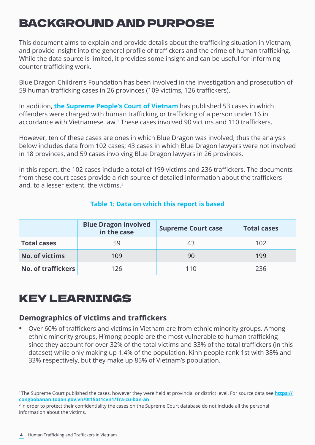### BACKGROUND AND PURPOSE

This document aims to explain and provide details about the trafficking situation in Vietnam, and provide insight into the general profile of traffickers and the crime of human trafficking. While the data source is limited, it provides some insight and can be useful for informing counter trafficking work.

Blue Dragon Children's Foundation has been involved in the investigation and prosecution of 59 human trafficking cases in 26 provinces (109 victims, 126 traffickers).

In addition, **[the Supreme People's Court of Vietnam](https://congbobanan.toaan.gov.vn/0t15at1cvn1/Tra-cu-ban-an)** has published 53 cases in which offenders were charged with human trafficking or trafficking of a person under 16 in accordance with Vietnamese law.<sup>1</sup> These cases involved 90 victims and 110 traffickers.

However, ten of these cases are ones in which Blue Dragon was involved, thus the analysis below includes data from 102 cases; 43 cases in which Blue Dragon lawyers were not involved in 18 provinces, and 59 cases involving Blue Dragon lawyers in 26 provinces.

In this report, the 102 cases include a total of 199 victims and 236 traffickers. The documents from these court cases provide a rich source of detailed information about the traffickers and, to a lesser extent, the victims.<sup>2</sup>

|                           | <b>Blue Dragon involved</b><br>in the case | <b>Supreme Court case</b> | <b>Total cases</b> |
|---------------------------|--------------------------------------------|---------------------------|--------------------|
| <b>Total cases</b>        | 59                                         | 43                        | 102                |
| <b>No. of victims</b>     | 109                                        | 90                        | 199                |
| <b>No. of traffickers</b> | 126                                        | 110                       | 236                |

#### **Table 1: Data on which this report is based**

### KEY LEARNINGS

#### **Demographics of victims and traffickers**

**•** Over 60% of traffickers and victims in Vietnam are from ethnic minority groups. Among ethnic minority groups, H'mong people are the most vulnerable to human trafficking since they account for over 32% of the total victims and 33% of the total traffickers (in this dataset) while only making up 1.4% of the population. Kinh people rank 1st with 38% and 33% respectively, but they make up 85% of Vietnam's population.

<sup>1</sup>The Supreme Court published the cases, however they were held at provincial or district level. For source data see **https:// congbobanan.toaan.gov.vn/0t15at1cvn1/Tra-cu-ban-an**

<sup>&</sup>lt;sup>2</sup> In order to protect their confidentiality the cases on the Supreme Court database do not include all the personal information about the victims.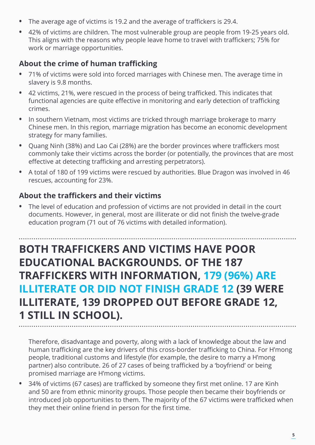- **•** The average age of victims is 19.2 and the average of traffickers is 29.4.
- **•** 42% of victims are children. The most vulnerable group are people from 19-25 years old. This aligns with the reasons why people leave home to travel with traffickers; 75% for work or marriage opportunities.

#### **About the crime of human trafficking**

- **•** 71% of victims were sold into forced marriages with Chinese men. The average time in slavery is 9.8 months.
- **•** 42 victims, 21%, were rescued in the process of being trafficked. This indicates that functional agencies are quite effective in monitoring and early detection of trafficking crimes.
- **•** In southern Vietnam, most victims are tricked through marriage brokerage to marry Chinese men. In this region, marriage migration has become an economic development strategy for many families.
- **•** Quang Ninh (38%) and Lao Cai (28%) are the border provinces where traffickers most commonly take their victims across the border (or potentially, the provinces that are most effective at detecting trafficking and arresting perpetrators).
- **•** A total of 180 of 199 victims were rescued by authorities. Blue Dragon was involved in 46 rescues, accounting for 23%.

#### **About the traffickers and their victims**

**•** The level of education and profession of victims are not provided in detail in the court documents. However, in general, most are illiterate or did not finish the twelve-grade education program (71 out of 76 victims with detailed information).

### **BOTH TRAFFICKERS AND VICTIMS HAVE POOR EDUCATIONAL BACKGROUNDS. OF THE 187 TRAFFICKERS WITH INFORMATION, 179 (96%) ARE ILLITERATE OR DID NOT FINISH GRADE 12 (39 WERE ILLITERATE, 139 DROPPED OUT BEFORE GRADE 12, 1 STILL IN SCHOOL).**

Therefore, disadvantage and poverty, along with a lack of knowledge about the law and human trafficking are the key drivers of this cross-border trafficking to China. For H'mong people, traditional customs and lifestyle (for example, the desire to marry a H'mong partner) also contribute. 26 of 27 cases of being trafficked by a 'boyfriend' or being promised marriage are H'mong victims.

**•** 34% of victims (67 cases) are trafficked by someone they first met online. 17 are Kinh and 50 are from ethnic minority groups. Those people then became their boyfriends or introduced job opportunities to them. The majority of the 67 victims were trafficked when they met their online friend in person for the first time.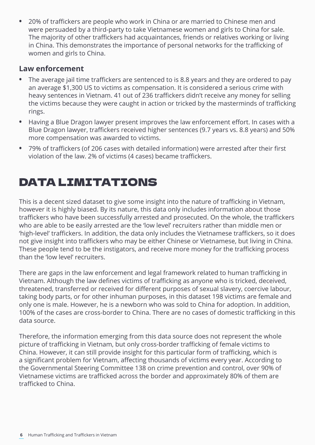**•** 20% of traffickers are people who work in China or are married to Chinese men and were persuaded by a third-party to take Vietnamese women and girls to China for sale. The majority of other traffickers had acquaintances, friends or relatives working or living in China. This demonstrates the importance of personal networks for the trafficking of women and girls to China.

#### **Law enforcement**

- **•** The average jail time traffickers are sentenced to is 8.8 years and they are ordered to pay an average \$1,300 US to victims as compensation. It is considered a serious crime with heavy sentences in Vietnam. 41 out of 236 traffickers didn't receive any money for selling the victims because they were caught in action or tricked by the masterminds of trafficking rings.
- **•** Having a Blue Dragon lawyer present improves the law enforcement effort. In cases with a Blue Dragon lawyer, traffickers received higher sentences (9.7 years vs. 8.8 years) and 50% more compensation was awarded to victims.
- **•** 79% of traffickers (of 206 cases with detailed information) were arrested after their first violation of the law. 2% of victims (4 cases) became traffickers.

### DATA LIMITATIONS

This is a decent sized dataset to give some insight into the nature of trafficking in Vietnam, however it is highly biased. By its nature, this data only includes information about those traffickers who have been successfully arrested and prosecuted. On the whole, the traffickers who are able to be easily arrested are the 'low level' recruiters rather than middle men or 'high-level' traffickers. In addition, the data only includes the Vietnamese traffickers, so it does not give insight into traffickers who may be either Chinese or Vietnamese, but living in China. These people tend to be the instigators, and receive more money for the trafficking process than the 'low level' recruiters.

There are gaps in the law enforcement and legal framework related to human trafficking in Vietnam. Although the law defines victims of trafficking as anyone who is tricked, deceived, threatened, transferred or received for different purposes of sexual slavery, coercive labour, taking body parts, or for other inhuman purposes, in this dataset 198 victims are female and only one is male. However, he is a newborn who was sold to China for adoption. In addition, 100% of the cases are cross-border to China. There are no cases of domestic trafficking in this data source.

Therefore, the information emerging from this data source does not represent the whole picture of trafficking in Vietnam, but only cross-border trafficking of female victims to China. However, it can still provide insight for this particular form of trafficking, which is a significant problem for Vietnam, affecting thousands of victims every year. According to the Governmental Steering Committee 138 on crime prevention and control, over 90% of Vietnamese victims are trafficked across the border and approximately 80% of them are trafficked to China.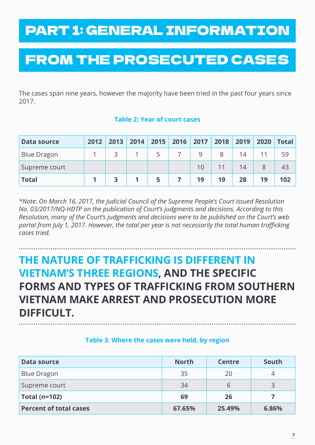# PART 1: GENERAL INFORMATION

# FROM THE PROSECUTED CASES

The cases span nine years, however the majority have been tried in the past four years since 2017.

#### **Table 2: Year of court cases**

| Data source        | 2012 | 2013 | 2014 | 2015 | 2016 | 2017 | 2018 | 2019 | 2020 | <b>Total</b> |
|--------------------|------|------|------|------|------|------|------|------|------|--------------|
| <b>Blue Dragon</b> |      |      |      |      |      |      |      | 14   |      | 59           |
| Supreme court      |      |      |      |      |      |      |      | 14   |      | 43           |
| <b>Total</b>       |      |      |      |      |      | 19   | 19   | 28   | 19   | 102          |

*\*Note: On March 16, 2017, the Judicial Council of the Supreme People's Court issued Resolution No. 03/2017/NQ-HDTP on the publication of Court's judgments and decisions. According to this Resolution, many of the Court's judgments and decisions were to be published on the Court's web portal from July 1, 2017. However, the total per year is not necessarily the total human trafficking cases tried.*

### **THE NATURE OF TRAFFICKING IS DIFFERENT IN VIETNAM'S THREE REGIONS, AND THE SPECIFIC FORMS AND TYPES OF TRAFFICKING FROM SOUTHERN VIETNAM MAKE ARREST AND PROSECUTION MORE DIFFICULT.**

#### **Table 3: Where the cases were held, by region**

| Data source                   | <b>North</b> | <b>Centre</b> | South |
|-------------------------------|--------------|---------------|-------|
| <b>Blue Dragon</b>            | 35           | 20            | 4     |
| Supreme court                 | 34           | b             | 3     |
| <b>Total (n=102)</b>          | 69           | 26            |       |
| <b>Percent of total cases</b> | 67.65%       | 25.49%        | 6.86% |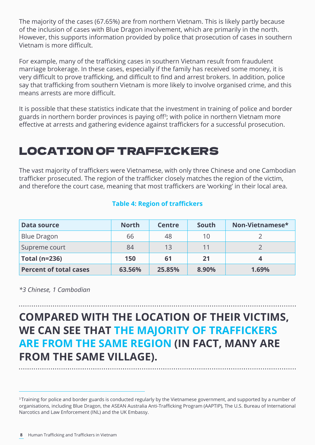The majority of the cases (67.65%) are from northern Vietnam. This is likely partly because of the inclusion of cases with Blue Dragon involvement, which are primarily in the north. However, this supports information provided by police that prosecution of cases in southern Vietnam is more difficult.

For example, many of the trafficking cases in southern Vietnam result from fraudulent marriage brokerage. In these cases, especially if the family has received some money, it is very difficult to prove trafficking, and difficult to find and arrest brokers. In addition, police say that trafficking from southern Vietnam is more likely to involve organised crime, and this means arrests are more difficult.

It is possible that these statistics indicate that the investment in training of police and border guards in northern border provinces is paying off<sup>3</sup>; with police in northern Vietnam more effective at arrests and gathering evidence against traffickers for a successful prosecution.

#### LOCATION OF TRAFFICKERS

The vast majority of traffickers were Vietnamese, with only three Chinese and one Cambodian trafficker prosecuted. The region of the trafficker closely matches the region of the victim, and therefore the court case, meaning that most traffickers are 'working' in their local area.

#### **Table 4: Region of traffickers**

| <b>Data source</b>            | <b>North</b> | <b>Centre</b> | South | Non-Vietnamese* |
|-------------------------------|--------------|---------------|-------|-----------------|
| <b>Blue Dragon</b>            | 66           | 48            | 10    |                 |
| Supreme court                 | 84           | 13            | 11    |                 |
| <b>Total (n=236)</b>          | 150          | 61            | 21    |                 |
| <b>Percent of total cases</b> | 63.56%       | 25.85%        | 8.90% | 1.69%           |

*\*3 Chinese, 1 Cambodian*

### **COMPARED WITH THE LOCATION OF THEIR VICTIMS, WE CAN SEE THAT THE MAJORITY OF TRAFFICKERS ARE FROM THE SAME REGION (IN FACT, MANY ARE FROM THE SAME VILLAGE).**

<sup>&</sup>lt;sup>3</sup> Training for police and border guards is conducted regularly by the Vietnamese government, and supported by a number of organisations, including Blue Dragon, the ASEAN Australia Anti-Trafficking Program (AAPTIP), The U.S. Bureau of International Narcotics and Law Enforcement (INL) and the UK Embassy.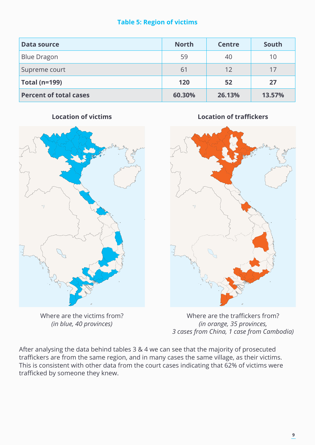#### **Table 5: Region of victims**

| <b>Data source</b>            | <b>North</b> | <b>Centre</b> | South  |
|-------------------------------|--------------|---------------|--------|
| <b>Blue Dragon</b>            | 59           | 40            | 10     |
| Supreme court                 | 61           | 12            | 17     |
| <b>Total (n=199)</b>          | 120          | 52            | 27     |
| <b>Percent of total cases</b> | 60.30%       | 26.13%        | 13.57% |

**Location of victims**

Where are the victims from? *(in blue, 40 provinces)*

**Location of traffickers**



Where are the traffickers from? *(in orange, 35 provinces, 3 cases from China, 1 case from Cambodia)*

After analysing the data behind tables 3 & 4 we can see that the majority of prosecuted traffickers are from the same region, and in many cases the same village, as their victims. This is consistent with other data from the court cases indicating that 62% of victims were trafficked by someone they knew.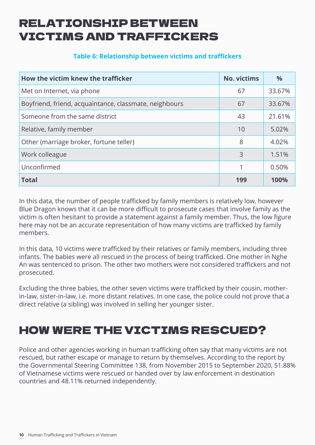#### RELATIONSHIP BETWEEN VICTIMS AND TRAFFICKERS

#### **Table 6: Relationship between victims and traffickers**

| How the victim knew the trafficker                     | <b>No. victims</b> | $\%$   |
|--------------------------------------------------------|--------------------|--------|
| Met on Internet, via phone                             | 67                 | 33.67% |
| Boyfriend, friend, acquaintance, classmate, neighbours | 67                 | 33.67% |
| Someone from the same district                         | 43                 | 21.61% |
| Relative, family member                                | 10                 | 5.02%  |
| Other (marriage broker, fortune teller)                | 8                  | 4.02%  |
| Work colleague                                         | 3                  | 1.51%  |
| Unconfirmed                                            |                    | 0.50%  |
| <b>Total</b>                                           | 199                | 100%   |

In this data, the number of people trafficked by family members is relatively low, however Blue Dragon knows that it can be more difficult to prosecute cases that involve family as the victim is often hesitant to provide a statement against a family member. Thus, the low figure here may not be an accurate representation of how many victims are trafficked by family members.

In this data, 10 victims were trafficked by their relatives or family members, including three infants. The babies were all rescued in the process of being trafficked. One mother in Nghe An was sentenced to prison. The other two mothers were not considered traffickers and not prosecuted.

Excluding the three babies, the other seven victims were trafficked by their cousin, motherin-law, sister-in-law, i.e. more distant relatives. In one case, the police could not prove that a direct relative (a sibling) was involved in selling her younger sister.

### HOW WERE THE VICTIMS RESCUED?

Police and other agencies working in human trafficking often say that many victims are not rescued, but rather escape or manage to return by themselves. According to the report by the Governmental Steering Committee 138, from November 2015 to September 2020, 51.88% of Vietnamese victims were rescued or handed over by law enforcement in destination countries and 48.11% returned independently.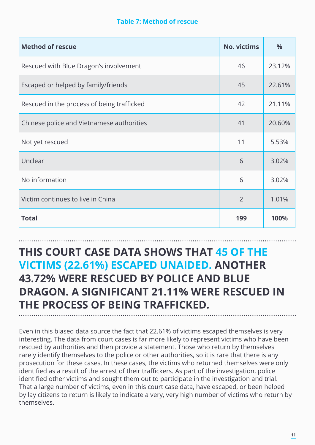#### **Table 7: Method of rescue**

| <b>Method of rescue</b>                    | <b>No. victims</b> | $\frac{0}{0}$ |
|--------------------------------------------|--------------------|---------------|
| Rescued with Blue Dragon's involvement     | 46                 | 23.12%        |
| Escaped or helped by family/friends        | 45                 | 22.61%        |
| Rescued in the process of being trafficked | 42                 | 21.11%        |
| Chinese police and Vietnamese authorities  | 41                 | 20.60%        |
| Not yet rescued                            | 11                 | 5.53%         |
| Unclear                                    | 6                  | 3.02%         |
| No information                             | 6                  | 3.02%         |
| Victim continues to live in China          | $\overline{2}$     | 1.01%         |
| <b>Total</b>                               | 199                | 100%          |

#### **THIS COURT CASE DATA SHOWS THAT 45 OF THE VICTIMS (22.61%) ESCAPED UNAIDED. ANOTHER 43.72% WERE RESCUED BY POLICE AND BLUE DRAGON. A SIGNIFICANT 21.11% WERE RESCUED IN THE PROCESS OF BEING TRAFFICKED.**

Even in this biased data source the fact that 22.61% of victims escaped themselves is very interesting. The data from court cases is far more likely to represent victims who have been rescued by authorities and then provide a statement. Those who return by themselves rarely identify themselves to the police or other authorities, so it is rare that there is any prosecution for these cases. In these cases, the victims who returned themselves were only identified as a result of the arrest of their traffickers. As part of the investigation, police identified other victims and sought them out to participate in the investigation and trial. That a large number of victims, even in this court case data, have escaped, or been helped by lay citizens to return is likely to indicate a very, very high number of victims who return by themselves.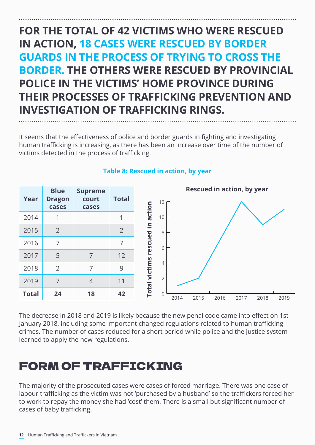### **FOR THE TOTAL OF 42 VICTIMS WHO WERE RESCUED IN ACTION, 18 CASES WERE RESCUED BY BORDER GUARDS IN THE PROCESS OF TRYING TO CROSS THE BORDER. THE OTHERS WERE RESCUED BY PROVINCIAL POLICE IN THE VICTIMS' HOME PROVINCE DURING THEIR PROCESSES OF TRAFFICKING PREVENTION AND INVESTIGATION OF TRAFFICKING RINGS.**

It seems that the effectiveness of police and border guards in fighting and investigating human trafficking is increasing, as there has been an increase over time of the number of victims detected in the process of trafficking.



#### **Table 8: Rescued in action, by year**

The decrease in 2018 and 2019 is likely because the new penal code came into effect on 1st January 2018, including some important changed regulations related to human trafficking crimes. The number of cases reduced for a short period while police and the justice system learned to apply the new regulations.

#### FORM OF TRAFFICKING

The majority of the prosecuted cases were cases of forced marriage. There was one case of labour trafficking as the victim was not 'purchased by a husband' so the traffickers forced her to work to repay the money she had 'cost' them. There is a small but significant number of cases of baby trafficking.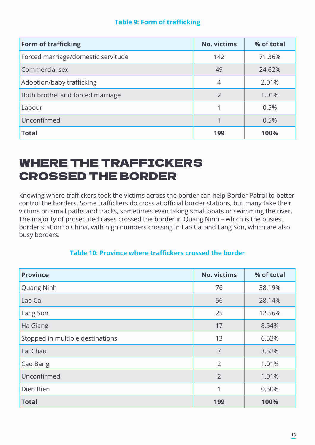#### **Table 9: Form of trafficking**

| <b>Form of trafficking</b>         | <b>No. victims</b> | % of total |
|------------------------------------|--------------------|------------|
| Forced marriage/domestic servitude | 142                | 71.36%     |
| Commercial sex                     | 49                 | 24.62%     |
| Adoption/baby trafficking          | 4                  | 2.01%      |
| Both brothel and forced marriage   | $\overline{2}$     | 1.01%      |
| Labour                             |                    | 0.5%       |
| Unconfirmed                        |                    | 0.5%       |
| <b>Total</b>                       | 199                | 100%       |

### WHERE THE TRAFFICKERS CROSSED THE BORDER

Knowing where traffickers took the victims across the border can help Border Patrol to better control the borders. Some traffickers do cross at official border stations, but many take their victims on small paths and tracks, sometimes even taking small boats or swimming the river. The majority of prosecuted cases crossed the border in Quang Ninh – which is the busiest border station to China, with high numbers crossing in Lao Cai and Lang Son, which are also busy borders.

#### **Table 10: Province where traffickers crossed the border**

| <b>Province</b>                  | <b>No. victims</b> | % of total |  |
|----------------------------------|--------------------|------------|--|
| <b>Quang Ninh</b>                | 76                 | 38.19%     |  |
| Lao Cai                          | 56                 | 28.14%     |  |
| Lang Son                         | 25                 | 12.56%     |  |
| Ha Giang                         | 17                 | 8.54%      |  |
| Stopped in multiple destinations | 13                 | 6.53%      |  |
| Lai Chau                         | $\overline{7}$     | 3.52%      |  |
| Cao Bang                         | 2                  | 1.01%      |  |
| Unconfirmed                      | $\overline{2}$     | 1.01%      |  |
| Dien Bien                        | 1                  | 0.50%      |  |
| <b>Total</b>                     | 199                | 100%       |  |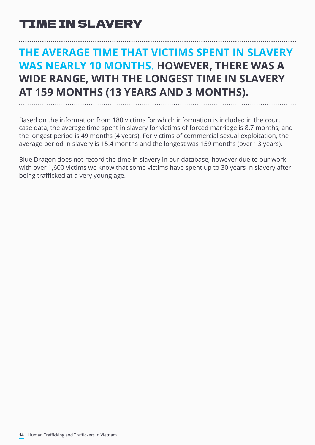### **THE AVERAGE TIME THAT VICTIMS SPENT IN SLAVERY WAS NEARLY 10 MONTHS. HOWEVER, THERE WAS A WIDE RANGE, WITH THE LONGEST TIME IN SLAVERY AT 159 MONTHS (13 YEARS AND 3 MONTHS).**

Based on the information from 180 victims for which information is included in the court case data, the average time spent in slavery for victims of forced marriage is 8.7 months, and the longest period is 49 months (4 years). For victims of commercial sexual exploitation, the average period in slavery is 15.4 months and the longest was 159 months (over 13 years).

Blue Dragon does not record the time in slavery in our database, however due to our work with over 1,600 victims we know that some victims have spent up to 30 years in slavery after being trafficked at a very young age.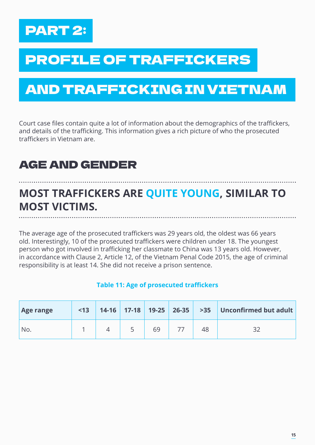

# PROFILE OF TRAFFICKERS

# AND TRAFFICKING IN VIETNAM

Court case files contain quite a lot of information about the demographics of the traffickers, and details of the trafficking. This information gives a rich picture of who the prosecuted traffickers in Vietnam are.

#### AGE AND GENDER

### **MOST TRAFFICKERS ARE QUITE YOUNG, SIMILAR TO MOST VICTIMS.**

The average age of the prosecuted traffickers was 29 years old, the oldest was 66 years old. Interestingly, 10 of the prosecuted traffickers were children under 18. The youngest person who got involved in trafficking her classmate to China was 13 years old. However, in accordance with Clause 2, Article 12, of the Vietnam Penal Code 2015, the age of criminal responsibility is at least 14. She did not receive a prison sentence.

#### **Table 11: Age of prosecuted traffickers**

| Age range | $<$ 13 |  |    |    | 14-16   17-18   19-25   26-35   >35   Unconfirmed but adult |
|-----------|--------|--|----|----|-------------------------------------------------------------|
| No.       |        |  | 69 | 48 |                                                             |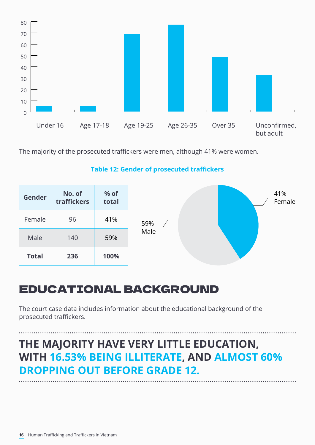

The majority of the prosecuted traffickers were men, although 41% were women.

| Gender       | No. of<br>traffickers | % of<br>total |      |  | 41%<br>Female |
|--------------|-----------------------|---------------|------|--|---------------|
| Female       | 96                    | 41%           | 59%  |  |               |
| Male         | 140                   | 59%           | Male |  |               |
| <b>Total</b> | 236                   | 100%          |      |  |               |

#### **Table 12: Gender of prosecuted traffickers**

#### EDUCATIONAL BACKGROUND

The court case data includes information about the educational background of the prosecuted traffickers.

### **THE MAJORITY HAVE VERY LITTLE EDUCATION, WITH 16.53% BEING ILLITERATE, AND ALMOST 60% DROPPING OUT BEFORE GRADE 12.**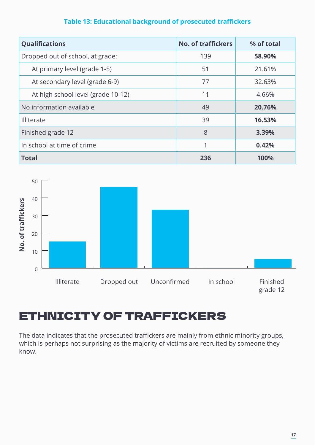#### **Table 13: Educational background of prosecuted traffickers**

| <b>Qualifications</b>              | <b>No. of traffickers</b> | % of total |
|------------------------------------|---------------------------|------------|
| Dropped out of school, at grade:   | 139                       | 58.90%     |
| At primary level (grade 1-5)       | 51                        | 21.61%     |
| At secondary level (grade 6-9)     | 77                        | 32.63%     |
| At high school level (grade 10-12) | 11                        | 4.66%      |
| No information available           | 49                        | 20.76%     |
| Illiterate                         | 39                        | 16.53%     |
| Finished grade 12                  | 8                         | 3.39%      |
| In school at time of crime         | 1                         | 0.42%      |
| <b>Total</b>                       | 236                       | 100%       |



#### ETHNICITY OF TRAFFICKERS

The data indicates that the prosecuted traffickers are mainly from ethnic minority groups, which is perhaps not surprising as the majority of victims are recruited by someone they know.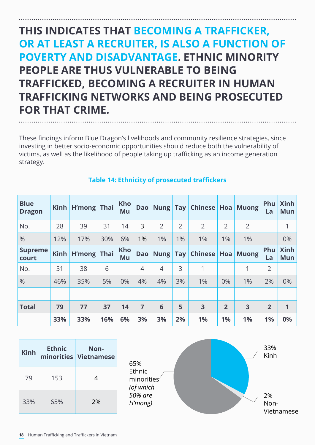### **THIS INDICATES THAT BECOMING A TRAFFICKER, OR AT LEAST A RECRUITER, IS ALSO A FUNCTION OF POVERTY AND DISADVANTAGE. ETHNIC MINORITY PEOPLE ARE THUS VULNERABLE TO BEING TRAFFICKED, BECOMING A RECRUITER IN HUMAN TRAFFICKING NETWORKS AND BEING PROSECUTED FOR THAT CRIME.**

These findings inform Blue Dragon's livelihoods and community resilience strategies, since investing in better socio-economic opportunities should reduce both the vulnerability of victims, as well as the likelihood of people taking up trafficking as an income generation strategy.

| <b>Blue</b><br><b>Dragon</b> | Kimh | H'mong Thai |     | <b>Kho</b><br>Mu | <b>Dao</b>     | Nung Tay       |                | Chinese   Hoa  |                | <b>Muong</b>   | <b>Phu</b><br>La | <b>Xinh</b><br><b>Mun</b> |
|------------------------------|------|-------------|-----|------------------|----------------|----------------|----------------|----------------|----------------|----------------|------------------|---------------------------|
| No.                          | 28   | 39          | 31  | 14               | 3              | $\overline{2}$ | $\overline{2}$ | $\overline{2}$ | $\overline{2}$ | $\overline{2}$ |                  |                           |
| $\frac{0}{0}$                | 12%  | 17%         | 30% | 6%               | 1%             | $1\%$          | $1\%$          | 1%             | 1%             | 1%             |                  | 0%                        |
| <b>Supreme</b><br>court      | Kimh | H'mong Thai |     | <b>Kho</b><br>Mu | <b>Dao</b>     | <b>Nung</b>    | $\vert$ Tay    | Chinese   Hoa  |                | <b>Muong</b>   | Phu<br>La        | <b>Xinh</b><br><b>Mun</b> |
| No.                          | 51   | 38          | 6   |                  | $\overline{4}$ | $\overline{4}$ | 3              | 1              |                | 1              | $\overline{2}$   |                           |
| $\frac{0}{0}$                | 46%  | 35%         | 5%  | 0%               | 4%             | 4%             | 3%             | 1%             | 0%             | 1%             | 2%               | 0%                        |
|                              |      |             |     |                  |                |                |                |                |                |                |                  |                           |
| <b>Total</b>                 | 79   | 77          | 37  | 14               | 7              | 6              | 5              | 3              | $\overline{2}$ | 3              | $\overline{2}$   | 1                         |
|                              | 33%  | 33%         | 16% | 6%               | 3%             | 3%             | 2%             | 1%             | 1%             | 1%             | 1%               | 0%                        |

#### **Table 14: Ethnicity of prosecuted traffickers**

| <b>Kinh</b> | <b>Ethnic</b> | Non-<br>minorities Vietnamese |
|-------------|---------------|-------------------------------|
| 79          | 153           | 4                             |
| 33%         | 65%           | 2%                            |

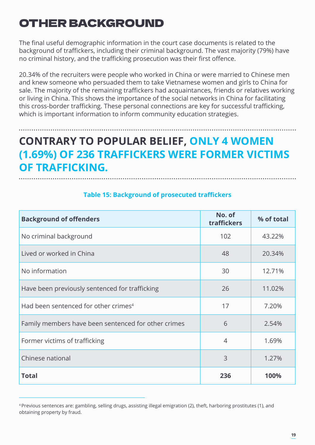### OTHER BACKGROUND

The final useful demographic information in the court case documents is related to the background of traffickers, including their criminal background. The vast majority (79%) have no criminal history, and the trafficking prosecution was their first offence.

20.34% of the recruiters were people who worked in China or were married to Chinese men and knew someone who persuaded them to take Vietnamese women and girls to China for sale. The majority of the remaining traffickers had acquaintances, friends or relatives working or living in China. This shows the importance of the social networks in China for facilitating this cross-border trafficking. These personal connections are key for successful trafficking, which is important information to inform community education strategies.

### **CONTRARY TO POPULAR BELIEF, ONLY 4 WOMEN (1.69%) OF 236 TRAFFICKERS WERE FORMER VICTIMS OF TRAFFICKING.**

| <b>Background of offenders</b>                      | No. of<br>traffickers | % of total |
|-----------------------------------------------------|-----------------------|------------|
| No criminal background                              | 102                   | 43.22%     |
| Lived or worked in China                            | 48                    | 20.34%     |
| No information                                      | 30                    | 12.71%     |
| Have been previously sentenced for trafficking      | 26                    | 11.02%     |
| Had been sentenced for other crimes <sup>4</sup>    | 17                    | 7.20%      |
| Family members have been sentenced for other crimes | 6                     | 2.54%      |
| Former victims of trafficking                       | $\overline{4}$        | 1.69%      |
| Chinese national                                    | 3                     | 1.27%      |
| <b>Total</b>                                        | 236                   | 100%       |

#### **Table 15: Background of prosecuted traffickers**

<sup>4</sup>Previous sentences are: gambling, selling drugs, assisting illegal emigration (2), theft, harboring prostitutes (1), and obtaining property by fraud.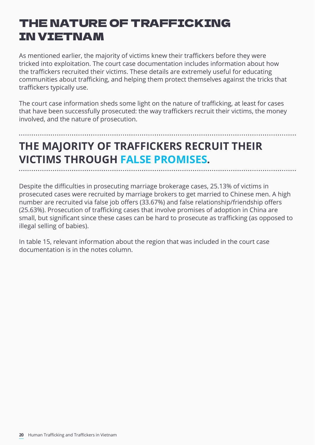### THE NATURE OF TRAFFICKING IN VIETNAM

As mentioned earlier, the majority of victims knew their traffickers before they were tricked into exploitation. The court case documentation includes information about how the traffickers recruited their victims. These details are extremely useful for educating communities about trafficking, and helping them protect themselves against the tricks that traffickers typically use.

The court case information sheds some light on the nature of trafficking, at least for cases that have been successfully prosecuted: the way traffickers recruit their victims, the money involved, and the nature of prosecution.

## **THE MAJORITY OF TRAFFICKERS RECRUIT THEIR VICTIMS THROUGH FALSE PROMISES.**

Despite the difficulties in prosecuting marriage brokerage cases, 25.13% of victims in prosecuted cases were recruited by marriage brokers to get married to Chinese men. A high number are recruited via false job offers (33.67%) and false relationship/friendship offers (25.63%). Prosecution of trafficking cases that involve promises of adoption in China are small, but significant since these cases can be hard to prosecute as trafficking (as opposed to illegal selling of babies).

In table 15, relevant information about the region that was included in the court case documentation is in the notes column.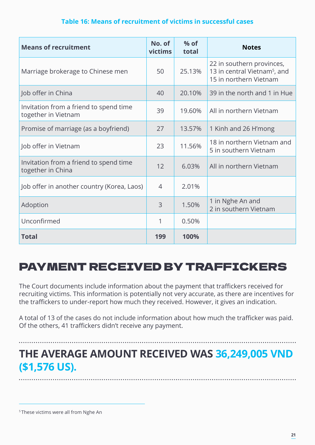#### **Table 16: Means of recruitment of victims in successful cases**

| <b>Means of recruitment</b>                                   | No. of<br>victims | $%$ of<br>total | <b>Notes</b>                                                                                    |
|---------------------------------------------------------------|-------------------|-----------------|-------------------------------------------------------------------------------------------------|
| Marriage brokerage to Chinese men                             | 50                | 25.13%          | 22 in southern provinces,<br>13 in central Vietnam <sup>5</sup> , and<br>15 in northern Vietnam |
| Job offer in China                                            | 40                | 20.10%          | 39 in the north and 1 in Hue                                                                    |
| Invitation from a friend to spend time<br>together in Vietnam | 39                | 19.60%          | All in northern Vietnam                                                                         |
| Promise of marriage (as a boyfriend)                          | 27                | 13.57%          | 1 Kinh and 26 H'mong                                                                            |
| Job offer in Vietnam                                          | 23                | 11.56%          | 18 in northern Vietnam and<br>5 in southern Vietnam                                             |
| Invitation from a friend to spend time<br>together in China   | 12                | 6.03%           | All in northern Vietnam                                                                         |
| Job offer in another country (Korea, Laos)                    | $\overline{4}$    | 2.01%           |                                                                                                 |
| Adoption                                                      | 3                 | 1.50%           | 1 in Nghe An and<br>2 in southern Vietnam                                                       |
| Unconfirmed                                                   | 1                 | 0.50%           |                                                                                                 |
| <b>Total</b>                                                  | 199               | 100%            |                                                                                                 |

#### PAYMENT RECEIVED BY TRAFFICKERS

The Court documents include information about the payment that traffickers received for recruiting victims. This information is potentially not very accurate, as there are incentives for the traffickers to under-report how much they received. However, it gives an indication.

A total of 13 of the cases do not include information about how much the trafficker was paid. Of the others, 41 traffickers didn't receive any payment.

### **THE AVERAGE AMOUNT RECEIVED WAS 36,249,005 VND (\$1,576 US).**

5 These victims were all from Nghe An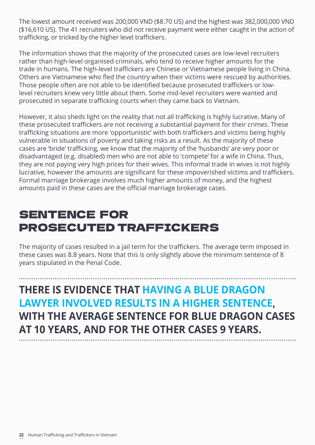The lowest amount received was 200,000 VND (\$8.70 US) and the highest was 382,000,000 VND (\$16,610 US). The 41 recruiters who did not receive payment were either caught in the action of trafficking, or tricked by the higher level traffickers.

The information shows that the majority of the prosecuted cases are low-level recruiters rather than high-level organised criminals, who tend to receive higher amounts for the trade in humans. The high-level traffickers are Chinese or Vietnamese people living in China. Others are Vietnamese who fled the country when their victims were rescued by authorities. Those people often are not able to be identified because prosecuted traffickers or lowlevel recruiters knew very little about them. Some mid-level recruiters were wanted and prosecuted in separate trafficking courts when they came back to Vietnam.

However, it also sheds light on the reality that not all trafficking is highly lucrative. Many of these prosecuted traffickers are not receiving a substantial payment for their crimes. These trafficking situations are more 'opportunistic' with both traffickers and victims being highly vulnerable in situations of poverty and taking risks as a result. As the majority of these cases are 'bride' trafficking, we know that the majority of the 'husbands' are very poor or disadvantaged (e.g. disabled) men who are not able to 'compete' for a wife in China. Thus, they are not paying very high prices for their wives. This informal trade in wives is not highly lucrative, however the amounts are significant for these impoverished victims and traffickers. Formal marriage brokerage involves much higher amounts of money, and the highest amounts paid in these cases are the official marriage brokerage cases.

### SENTENCE FOR PROSECUTED TRAFFICKERS

The majority of cases resulted in a jail term for the traffickers. The average term imposed in these cases was 8.8 years. Note that this is only slightly above the minimum sentence of 8 years stipulated in the Penal Code.

### **THERE IS EVIDENCE THAT HAVING A BLUE DRAGON LAWYER INVOLVED RESULTS IN A HIGHER SENTENCE, WITH THE AVERAGE SENTENCE FOR BLUE DRAGON CASES AT 10 YEARS, AND FOR THE OTHER CASES 9 YEARS.**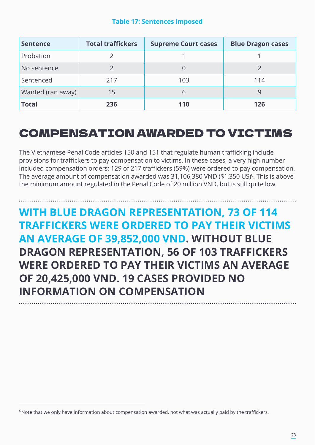| Table 17: Sentences imposed |  |  |
|-----------------------------|--|--|
|                             |  |  |
|                             |  |  |

| <b>Sentence</b>   | <b>Total traffickers</b> | <b>Supreme Court cases</b> | <b>Blue Dragon cases</b> |
|-------------------|--------------------------|----------------------------|--------------------------|
| Probation         |                          |                            |                          |
| No sentence       |                          |                            |                          |
| Sentenced         | 217                      | 103                        | 114                      |
| Wanted (ran away) | 15                       |                            |                          |
| <b>Total</b>      | 236                      | 110                        | 126                      |

#### COMPENSATION AWARDED TO VICTIMS

The Vietnamese Penal Code articles 150 and 151 that regulate human trafficking include provisions for traffickers to pay compensation to victims. In these cases, a very high number included compensation orders; 129 of 217 traffickers (59%) were ordered to pay compensation. The average amount of compensation awarded was 31,106,380 VND (\$1,350 US) $\degree$ . This is above the minimum amount regulated in the Penal Code of 20 million VND, but is still quite low.

**WITH BLUE DRAGON REPRESENTATION, 73 OF 114 TRAFFICKERS WERE ORDERED TO PAY THEIR VICTIMS AN AVERAGE OF 39,852,000 VND. WITHOUT BLUE DRAGON REPRESENTATION, 56 OF 103 TRAFFICKERS WERE ORDERED TO PAY THEIR VICTIMS AN AVERAGE OF 20,425,000 VND. 19 CASES PROVIDED NO INFORMATION ON COMPENSATION**

<sup>&</sup>lt;sup>6</sup> Note that we only have information about compensation awarded, not what was actually paid by the traffickers.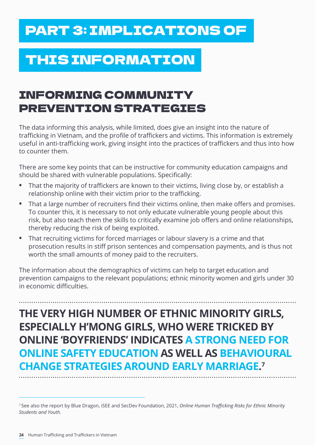# PART 3: IMPLICATIONS OF

# THIS INFORMATION

### INFORMING COMMUNITY PREVENTION STRATEGIES

The data informing this analysis, while limited, does give an insight into the nature of trafficking in Vietnam, and the profile of traffickers and victims. This information is extremely useful in anti-trafficking work, giving insight into the practices of traffickers and thus into how to counter them.

There are some key points that can be instructive for community education campaigns and should be shared with vulnerable populations. Specifically:

- **•** That the majority of traffickers are known to their victims, living close by, or establish a relationship online with their victim prior to the trafficking.
- **•** That a large number of recruiters find their victims online, then make offers and promises. To counter this, it is necessary to not only educate vulnerable young people about this risk, but also teach them the skills to critically examine job offers and online relationships, thereby reducing the risk of being exploited.
- **•** That recruiting victims for forced marriages or labour slavery is a crime and that prosecution results in stiff prison sentences and compensation payments, and is thus not worth the small amounts of money paid to the recruiters.

The information about the demographics of victims can help to target education and prevention campaigns to the relevant populations; ethnic minority women and girls under 30 in economic difficulties.

### **THE VERY HIGH NUMBER OF ETHNIC MINORITY GIRLS, ESPECIALLY H'MONG GIRLS, WHO WERE TRICKED BY ONLINE 'BOYFRIENDS' INDICATES A STRONG NEED FOR ONLINE SAFETY EDUCATION AS WELL AS BEHAVIOURAL CHANGE STRATEGIES AROUND EARLY MARRIAGE. 7**

<sup>7</sup>See also the report by Blue Dragon, iSEE and SecDev Foundation, 2021, *Online Human Trafficking Risks for Ethnic Minority Students and Youth.*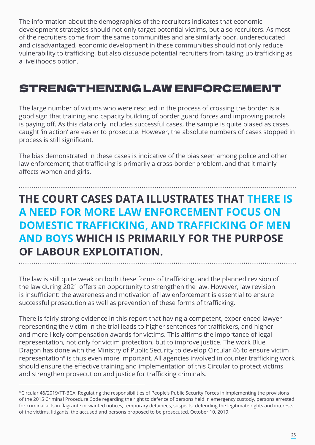The information about the demographics of the recruiters indicates that economic development strategies should not only target potential victims, but also recruiters. As most of the recruiters come from the same communities and are similarly poor, undereducated and disadvantaged, economic development in these communities should not only reduce vulnerability to trafficking, but also dissuade potential recruiters from taking up trafficking as a livelihoods option.

#### STRENGTHENING LAW ENFORCEMENT

The large number of victims who were rescued in the process of crossing the border is a good sign that training and capacity building of border guard forces and improving patrols is paying off. As this data only includes successful cases, the sample is quite biased as cases caught 'in action' are easier to prosecute. However, the absolute numbers of cases stopped in process is still significant.

The bias demonstrated in these cases is indicative of the bias seen among police and other law enforcement; that trafficking is primarily a cross-border problem, and that it mainly affects women and girls.

### **THE COURT CASES DATA ILLUSTRATES THAT THERE IS A NEED FOR MORE LAW ENFORCEMENT FOCUS ON DOMESTIC TRAFFICKING, AND TRAFFICKING OF MEN AND BOYS WHICH IS PRIMARILY FOR THE PURPOSE OF LABOUR EXPLOITATION.**

The law is still quite weak on both these forms of trafficking, and the planned revision of the law during 2021 offers an opportunity to strengthen the law. However, law revision is insufficient: the awareness and motivation of law enforcement is essential to ensure successful prosecution as well as prevention of these forms of trafficking.

There is fairly strong evidence in this report that having a competent, experienced lawyer representing the victim in the trial leads to higher sentences for traffickers, and higher and more likely compensation awards for victims. This affirms the importance of legal representation, not only for victim protection, but to improve justice. The work Blue Dragon has done with the Ministry of Public Security to develop Circular 46 to ensure victim representation<sup>8</sup> is thus even more important. All agencies involved in counter trafficking work should ensure the effective training and implementation of this Circular to protect victims and strengthen prosecution and justice for trafficking criminals.

<sup>8</sup>Circular 46/2019/TT-BCA, Regulating the responsibilities of People's Public Security Forces in implementing the provisions of the 2015 Criminal Procedure Code regarding the right to defence of persons held in emergency custody, persons arrested for criminal acts in flagrante or wanted notices, temporary detainees, suspects; defending the legitimate rights and interests of the victims, litigants, the accused and persons proposed to be prosecuted, October 10, 2019.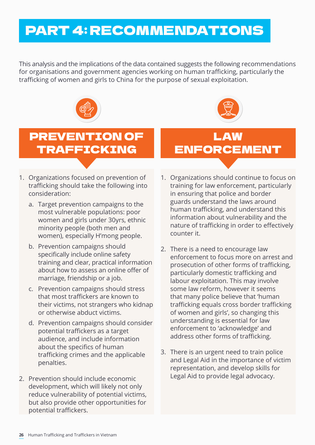# PART 4: RECOMMENDATIONS

This analysis and the implications of the data contained suggests the following recommendations for organisations and government agencies working on human trafficking, particularly the trafficking of women and girls to China for the purpose of sexual exploitation.



### PREVENTION OF TRAFFICKING

- 1. Organizations focused on prevention of trafficking should take the following into consideration:
	- a. Target prevention campaigns to the most vulnerable populations: poor women and girls under 30yrs, ethnic minority people (both men and women), especially H'mong people.
	- b. Prevention campaigns should specifically include online safety training and clear, practical information about how to assess an online offer of marriage, friendship or a job.
	- c. Prevention campaigns should stress that most traffickers are known to their victims, not strangers who kidnap or otherwise abduct victims.
	- d. Prevention campaigns should consider potential traffickers as a target audience, and include information about the specifics of human trafficking crimes and the applicable penalties.
- 2. Prevention should include economic development, which will likely not only reduce vulnerability of potential victims, but also provide other opportunities for potential traffickers.

### LAW ENFORCEMENT

- 1. Organizations should continue to focus on training for law enforcement, particularly in ensuring that police and border guards understand the laws around human trafficking, and understand this information about vulnerability and the nature of trafficking in order to effectively counter it.
- 2. There is a need to encourage law enforcement to focus more on arrest and prosecution of other forms of trafficking, particularly domestic trafficking and labour exploitation. This may involve some law reform, however it seems that many police believe that 'human trafficking equals cross border trafficking of women and girls', so changing this understanding is essential for law enforcement to 'acknowledge' and address other forms of trafficking.
- 3. There is an urgent need to train police and Legal Aid in the importance of victim representation, and develop skills for Legal Aid to provide legal advocacy.